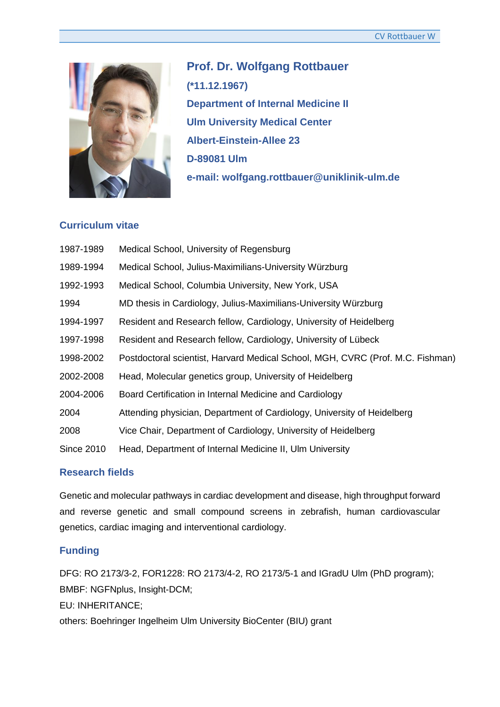

**Prof. Dr. Wolfgang Rottbauer (\*11.12.1967) Department of Internal Medicine II Ulm University Medical Center Albert-Einstein-Allee 23 D-89081 Ulm e-mail: wolfgang.rottbauer@uniklinik-ulm.de**

### **Curriculum vitae**

| Medical School, University of Regensburg                                       |
|--------------------------------------------------------------------------------|
| Medical School, Julius-Maximilians-University Würzburg                         |
| Medical School, Columbia University, New York, USA                             |
| MD thesis in Cardiology, Julius-Maximilians-University Würzburg                |
| Resident and Research fellow, Cardiology, University of Heidelberg             |
| Resident and Research fellow, Cardiology, University of Lübeck                 |
| Postdoctoral scientist, Harvard Medical School, MGH, CVRC (Prof. M.C. Fishman) |
| Head, Molecular genetics group, University of Heidelberg                       |
| Board Certification in Internal Medicine and Cardiology                        |
| Attending physician, Department of Cardiology, University of Heidelberg        |
| Vice Chair, Department of Cardiology, University of Heidelberg                 |
| Head, Department of Internal Medicine II, Ulm University                       |
|                                                                                |

## **Research fields**

Genetic and molecular pathways in cardiac development and disease, high throughput forward and reverse genetic and small compound screens in zebrafish, human cardiovascular genetics, cardiac imaging and interventional cardiology.

# **Funding**

DFG: RO 2173/3-2, FOR1228: RO 2173/4-2, RO 2173/5-1 and IGradU Ulm (PhD program); BMBF: NGFNplus, Insight-DCM;

EU: INHERITANCE;

others: Boehringer Ingelheim Ulm University BioCenter (BIU) grant